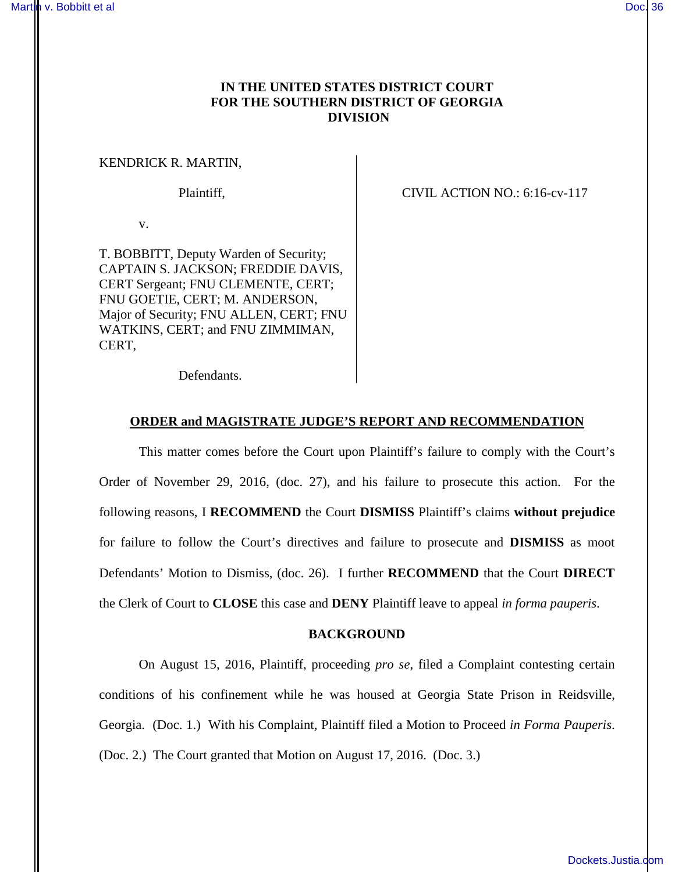# **IN THE UNITED STATES DISTRICT COURT FOR THE SOUTHERN DISTRICT OF GEORGIA DIVISION**

### KENDRICK R. MARTIN,

Plaintiff, CIVIL ACTION NO.: 6:16-cv-117

v.

T. BOBBITT, Deputy Warden of Security; CAPTAIN S. JACKSON; FREDDIE DAVIS, CERT Sergeant; FNU CLEMENTE, CERT; FNU GOETIE, CERT; M. ANDERSON, Major of Security; FNU ALLEN, CERT; FNU WATKINS, CERT; and FNU ZIMMIMAN, CERT,

Defendants.

#### **ORDER and MAGISTRATE JUDGE'S REPORT AND RECOMMENDATION**

This matter comes before the Court upon Plaintiff's failure to comply with the Court's Order of November 29, 2016, (doc. 27), and his failure to prosecute this action. For the following reasons, I **RECOMMEND** the Court **DISMISS** Plaintiff's claims **without prejudice** for failure to follow the Court's directives and failure to prosecute and **DISMISS** as moot Defendants' Motion to Dismiss, (doc. 26). I further **RECOMMEND** that the Court **DIRECT**  the Clerk of Court to **CLOSE** this case and **DENY** Plaintiff leave to appeal *in forma pauperis*.

#### **BACKGROUND**

On August 15, 2016, Plaintiff, proceeding *pro se*, filed a Complaint contesting certain conditions of his confinement while he was housed at Georgia State Prison in Reidsville, Georgia. (Doc. 1.) With his Complaint, Plaintiff filed a Motion to Proceed *in Forma Pauperis*. (Doc. 2.) The Court granted that Motion on August 17, 2016. (Doc. 3.)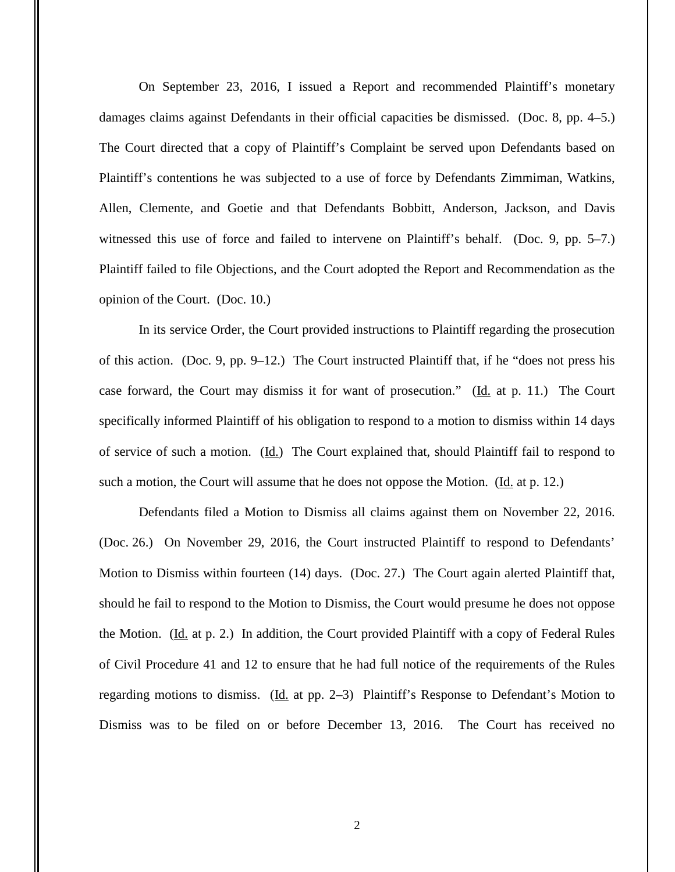On September 23, 2016, I issued a Report and recommended Plaintiff's monetary damages claims against Defendants in their official capacities be dismissed. (Doc. 8, pp. 4–5.) The Court directed that a copy of Plaintiff's Complaint be served upon Defendants based on Plaintiff's contentions he was subjected to a use of force by Defendants Zimmiman, Watkins, Allen, Clemente, and Goetie and that Defendants Bobbitt, Anderson, Jackson, and Davis witnessed this use of force and failed to intervene on Plaintiff's behalf. (Doc. 9, pp. 5–7.) Plaintiff failed to file Objections, and the Court adopted the Report and Recommendation as the opinion of the Court. (Doc. 10.)

In its service Order, the Court provided instructions to Plaintiff regarding the prosecution of this action. (Doc. 9, pp. 9–12.) The Court instructed Plaintiff that, if he "does not press his case forward, the Court may dismiss it for want of prosecution." (Id. at p. 11.) The Court specifically informed Plaintiff of his obligation to respond to a motion to dismiss within 14 days of service of such a motion. (Id.) The Court explained that, should Plaintiff fail to respond to such a motion, the Court will assume that he does not oppose the Motion. (Id. at p. 12.)

Defendants filed a Motion to Dismiss all claims against them on November 22, 2016. (Doc. 26.) On November 29, 2016, the Court instructed Plaintiff to respond to Defendants' Motion to Dismiss within fourteen (14) days. (Doc. 27.) The Court again alerted Plaintiff that, should he fail to respond to the Motion to Dismiss, the Court would presume he does not oppose the Motion. ( $\underline{Id}$ , at p. 2.) In addition, the Court provided Plaintiff with a copy of Federal Rules of Civil Procedure 41 and 12 to ensure that he had full notice of the requirements of the Rules regarding motions to dismiss. (Id. at pp. 2–3) Plaintiff's Response to Defendant's Motion to Dismiss was to be filed on or before December 13, 2016. The Court has received no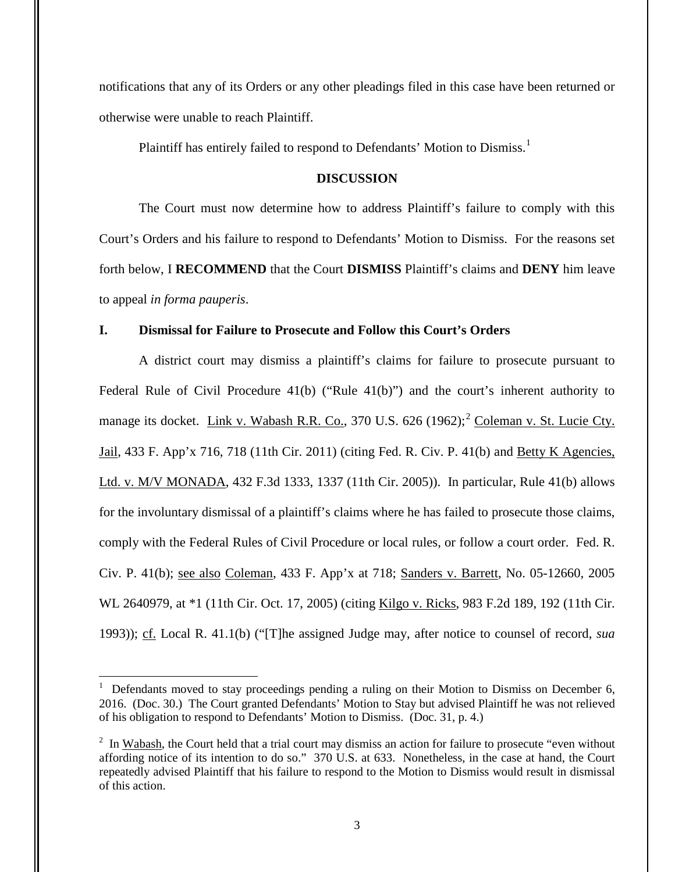notifications that any of its Orders or any other pleadings filed in this case have been returned or otherwise were unable to reach Plaintiff.

Plaintiff has entirely failed to respond to Defendants' Motion to Dismiss.<sup>1</sup>

### **DISCUSSION**

The Court must now determine how to address Plaintiff's failure to comply with this Court's Orders and his failure to respond to Defendants' Motion to Dismiss. For the reasons set forth below, I **RECOMMEND** that the Court **DISMISS** Plaintiff's claims and **DENY** him leave to appeal *in forma pauperis*.

## **I. Dismissal for Failure to Prosecute and Follow this Court's Orders**

A district court may dismiss a plaintiff's claims for failure to prosecute pursuant to Federal Rule of Civil Procedure 41(b) ("Rule 41(b)") and the court's inherent authority to manage its docket. Link v. Wabash R.R. Co., 370 U.S.  $626 (1962)$ ; Coleman v. St. Lucie Cty. Jail, 433 F. App'x 716, 718 (11th Cir. 2011) (citing Fed. R. Civ. P. 41(b) and Betty K Agencies, Ltd. v. M/V MONADA, 432 F.3d 1333, 1337 (11th Cir. 2005)). In particular, Rule 41(b) allows for the involuntary dismissal of a plaintiff's claims where he has failed to prosecute those claims, comply with the Federal Rules of Civil Procedure or local rules, or follow a court order. Fed. R. Civ. P. 41(b); see also Coleman, 433 F. App'x at 718; Sanders v. Barrett, No. 05-12660, 2005 WL 2640979, at \*1 (11th Cir. Oct. 17, 2005) (citing Kilgo v. Ricks, 983 F.2d 189, 192 (11th Cir. 1993)); cf. Local R. 41.1(b) ("[T]he assigned Judge may, after notice to counsel of record, *sua* 

 $\overline{a}$ 

<sup>&</sup>lt;sup>1</sup> Defendants moved to stay proceedings pending a ruling on their Motion to Dismiss on December 6, 2016. (Doc. 30.) The Court granted Defendants' Motion to Stay but advised Plaintiff he was not relieved of his obligation to respond to Defendants' Motion to Dismiss. (Doc. 31, p. 4.)

 $2 \text{ In } \underline{\text{Wabash}}$ , the Court held that a trial court may dismiss an action for failure to prosecute "even without affording notice of its intention to do so." 370 U.S. at 633. Nonetheless, in the case at hand, the Court repeatedly advised Plaintiff that his failure to respond to the Motion to Dismiss would result in dismissal of this action.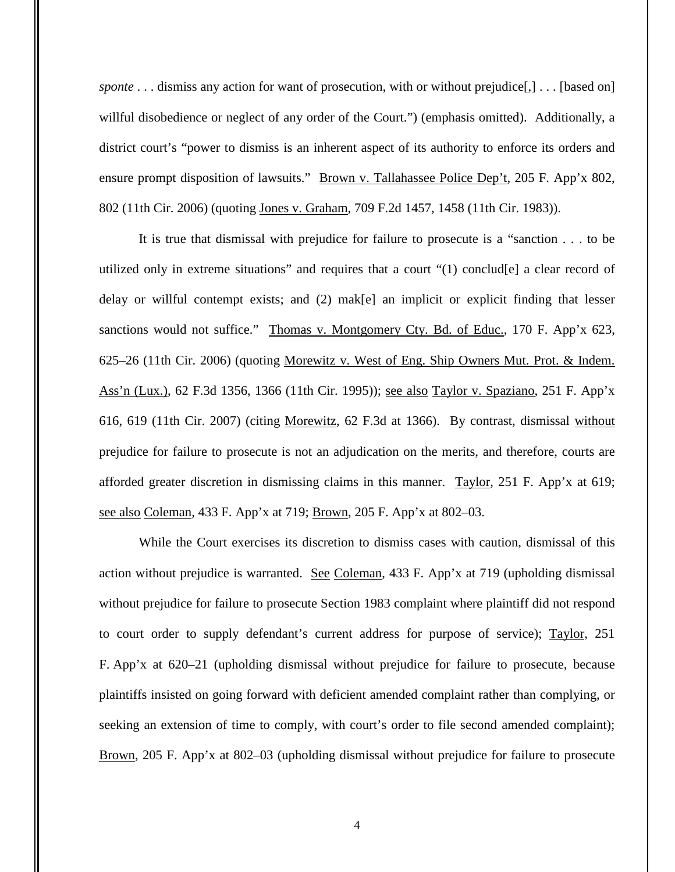*sponte* . . . dismiss any action for want of prosecution, with or without prejudice[,] . . . [based on] willful disobedience or neglect of any order of the Court.") (emphasis omitted). Additionally, a district court's "power to dismiss is an inherent aspect of its authority to enforce its orders and ensure prompt disposition of lawsuits." Brown v. Tallahassee Police Dep't, 205 F. App'x 802, 802 (11th Cir. 2006) (quoting Jones v. Graham, 709 F.2d 1457, 1458 (11th Cir. 1983)).

It is true that dismissal with prejudice for failure to prosecute is a "sanction . . . to be utilized only in extreme situations" and requires that a court "(1) conclud[e] a clear record of delay or willful contempt exists; and (2) mak[e] an implicit or explicit finding that lesser sanctions would not suffice." Thomas v. Montgomery Cty. Bd. of Educ., 170 F. App'x 623, 625–26 (11th Cir. 2006) (quoting Morewitz v. West of Eng. Ship Owners Mut. Prot. & Indem. Ass'n (Lux.), 62 F.3d 1356, 1366 (11th Cir. 1995)); see also Taylor v. Spaziano, 251 F. App'x 616, 619 (11th Cir. 2007) (citing Morewitz, 62 F.3d at 1366). By contrast, dismissal without prejudice for failure to prosecute is not an adjudication on the merits, and therefore, courts are afforded greater discretion in dismissing claims in this manner. Taylor, 251 F. App'x at 619; see also Coleman, 433 F. App'x at 719; Brown, 205 F. App'x at 802–03.

While the Court exercises its discretion to dismiss cases with caution, dismissal of this action without prejudice is warranted. See Coleman, 433 F. App'x at 719 (upholding dismissal without prejudice for failure to prosecute Section 1983 complaint where plaintiff did not respond to court order to supply defendant's current address for purpose of service); Taylor, 251 F. App'x at 620–21 (upholding dismissal without prejudice for failure to prosecute, because plaintiffs insisted on going forward with deficient amended complaint rather than complying, or seeking an extension of time to comply, with court's order to file second amended complaint); Brown, 205 F. App'x at 802–03 (upholding dismissal without prejudice for failure to prosecute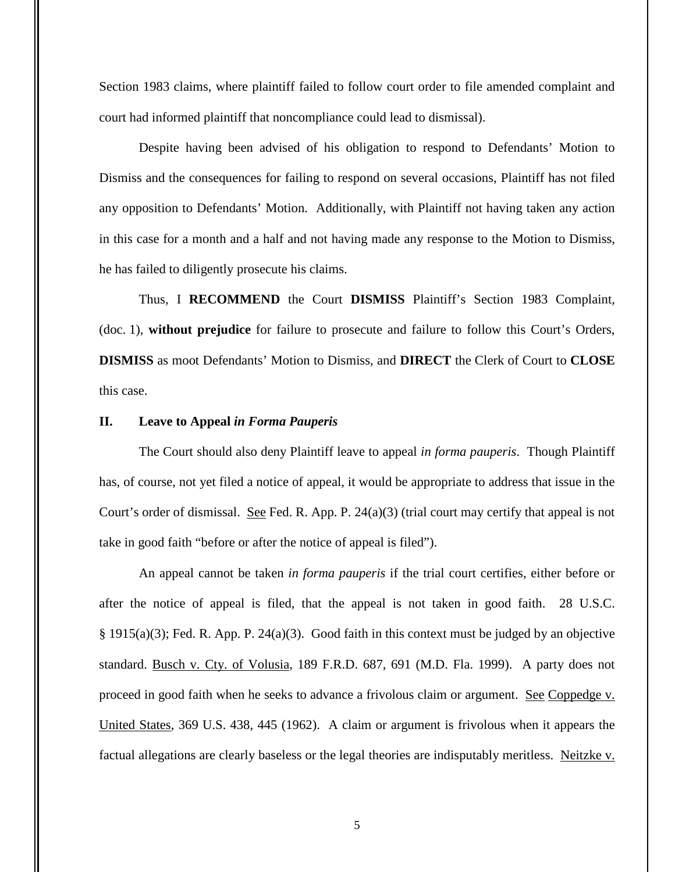Section 1983 claims, where plaintiff failed to follow court order to file amended complaint and court had informed plaintiff that noncompliance could lead to dismissal).

Despite having been advised of his obligation to respond to Defendants' Motion to Dismiss and the consequences for failing to respond on several occasions, Plaintiff has not filed any opposition to Defendants' Motion. Additionally, with Plaintiff not having taken any action in this case for a month and a half and not having made any response to the Motion to Dismiss, he has failed to diligently prosecute his claims.

Thus, I **RECOMMEND** the Court **DISMISS** Plaintiff's Section 1983 Complaint, (doc. 1), **without prejudice** for failure to prosecute and failure to follow this Court's Orders, **DISMISS** as moot Defendants' Motion to Dismiss, and **DIRECT** the Clerk of Court to **CLOSE** this case.

## **II. Leave to Appeal** *in Forma Pauperis*

The Court should also deny Plaintiff leave to appeal *in forma pauperis*. Though Plaintiff has, of course, not yet filed a notice of appeal, it would be appropriate to address that issue in the Court's order of dismissal. See Fed. R. App. P.  $24(a)(3)$  (trial court may certify that appeal is not take in good faith "before or after the notice of appeal is filed").

An appeal cannot be taken *in forma pauperis* if the trial court certifies, either before or after the notice of appeal is filed, that the appeal is not taken in good faith. 28 U.S.C.  $§$  1915(a)(3); Fed. R. App. P. 24(a)(3). Good faith in this context must be judged by an objective standard. Busch v. Cty. of Volusia, 189 F.R.D. 687, 691 (M.D. Fla. 1999). A party does not proceed in good faith when he seeks to advance a frivolous claim or argument. See Coppedge v. United States, 369 U.S. 438, 445 (1962). A claim or argument is frivolous when it appears the factual allegations are clearly baseless or the legal theories are indisputably meritless. Neitzke v.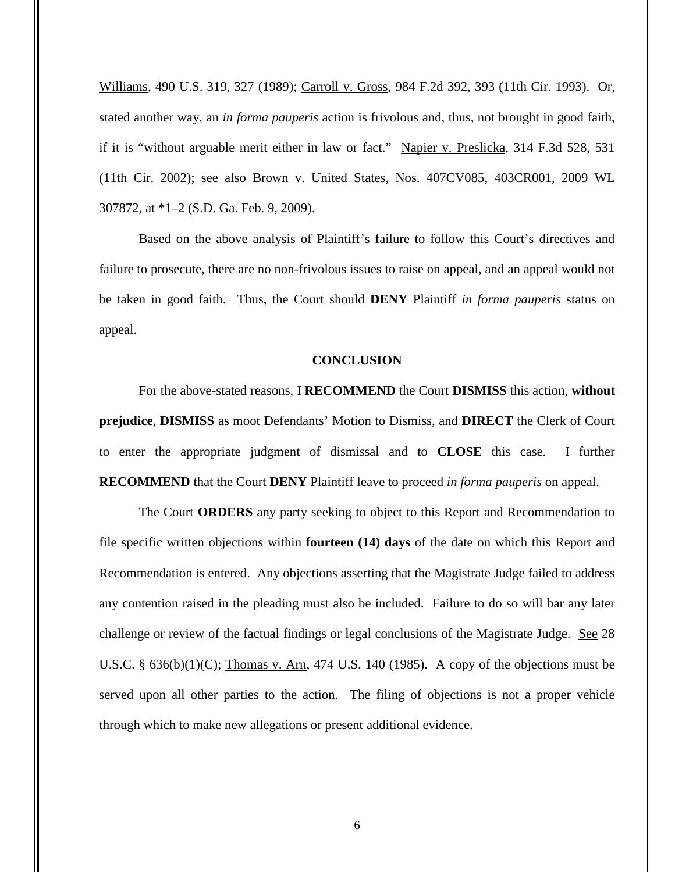Williams, 490 U.S. 319, 327 (1989); Carroll v. Gross, 984 F.2d 392, 393 (11th Cir. 1993). Or, stated another way, an *in forma pauperis* action is frivolous and, thus, not brought in good faith, if it is "without arguable merit either in law or fact." Napier v. Preslicka, 314 F.3d 528, 531 (11th Cir. 2002); see also Brown v. United States, Nos. 407CV085, 403CR001, 2009 WL 307872, at \*1–2 (S.D. Ga. Feb. 9, 2009).

Based on the above analysis of Plaintiff's failure to follow this Court's directives and failure to prosecute, there are no non-frivolous issues to raise on appeal, and an appeal would not be taken in good faith. Thus, the Court should **DENY** Plaintiff *in forma pauperis* status on appeal.

#### **CONCLUSION**

For the above-stated reasons, I **RECOMMEND** the Court **DISMISS** this action, **without prejudice**, **DISMISS** as moot Defendants' Motion to Dismiss, and **DIRECT** the Clerk of Court to enter the appropriate judgment of dismissal and to **CLOSE** this case. I further **RECOMMEND** that the Court **DENY** Plaintiff leave to proceed *in forma pauperis* on appeal.

The Court **ORDERS** any party seeking to object to this Report and Recommendation to file specific written objections within **fourteen (14) days** of the date on which this Report and Recommendation is entered. Any objections asserting that the Magistrate Judge failed to address any contention raised in the pleading must also be included. Failure to do so will bar any later challenge or review of the factual findings or legal conclusions of the Magistrate Judge. See 28 U.S.C. §  $636(b)(1)(C)$ ; Thomas v. Arn, 474 U.S. 140 (1985). A copy of the objections must be served upon all other parties to the action. The filing of objections is not a proper vehicle through which to make new allegations or present additional evidence.